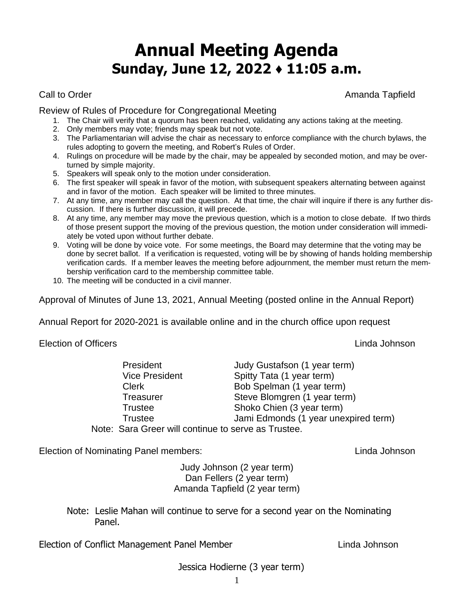## **Annual Meeting Agenda Sunday, June 12, 2022 ♦ 11:05 a.m.**

Call to Order **Amanda Tapfield** Call to Order Amanda Tapfield

Review of Rules of Procedure for Congregational Meeting

- 1. The Chair will verify that a quorum has been reached, validating any actions taking at the meeting.
- 2. Only members may vote; friends may speak but not vote.
- 3. The Parliamentarian will advise the chair as necessary to enforce compliance with the church bylaws, the rules adopting to govern the meeting, and Robert's Rules of Order.
- 4. Rulings on procedure will be made by the chair, may be appealed by seconded motion, and may be overturned by simple majority.
- 5. Speakers will speak only to the motion under consideration.
- 6. The first speaker will speak in favor of the motion, with subsequent speakers alternating between against and in favor of the motion. Each speaker will be limited to three minutes.
- 7. At any time, any member may call the question. At that time, the chair will inquire if there is any further discussion. If there is further discussion, it will precede.
- 8. At any time, any member may move the previous question, which is a motion to close debate. If two thirds of those present support the moving of the previous question, the motion under consideration will immediately be voted upon without further debate.
- 9. Voting will be done by voice vote. For some meetings, the Board may determine that the voting may be done by secret ballot. If a verification is requested, voting will be by showing of hands holding membership verification cards. If a member leaves the meeting before adjournment, the member must return the membership verification card to the membership committee table.
- 10. The meeting will be conducted in a civil manner.

Approval of Minutes of June 13, 2021, Annual Meeting (posted online in the Annual Report)

Annual Report for 2020-2021 is available online and in the church office upon request

Election of Officers Linda Johnson

|                                                     | President             | Judy Gustafson (1 year term)         |  |  |
|-----------------------------------------------------|-----------------------|--------------------------------------|--|--|
|                                                     | <b>Vice President</b> | Spitty Tata (1 year term)            |  |  |
|                                                     | <b>Clerk</b>          | Bob Spelman (1 year term)            |  |  |
|                                                     | <b>Treasurer</b>      | Steve Blomgren (1 year term)         |  |  |
|                                                     | <b>Trustee</b>        | Shoko Chien (3 year term)            |  |  |
|                                                     | <b>Trustee</b>        | Jami Edmonds (1 year unexpired term) |  |  |
| Note: Sara Greer will continue to serve as Trustee. |                       |                                      |  |  |

Election of Nominating Panel members: Linda Johnson

Judy Johnson (2 year term) Dan Fellers (2 year term) Amanda Tapfield (2 year term)

Note: Leslie Mahan will continue to serve for a second year on the Nominating Panel.

Election of Conflict Management Panel Member Linda Johnson

Jessica Hodierne (3 year term)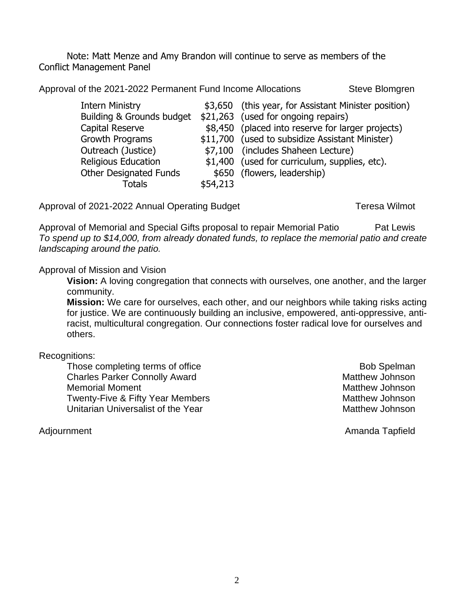Note: Matt Menze and Amy Brandon will continue to serve as members of the Conflict Management Panel

Approval of the 2021-2022 Permanent Fund Income Allocations Steve Blomgren

|          | \$3,650 (this year, for Assistant Minister position) |  |
|----------|------------------------------------------------------|--|
|          | \$21,263 (used for ongoing repairs)                  |  |
|          | \$8,450 (placed into reserve for larger projects)    |  |
|          | \$11,700 (used to subsidize Assistant Minister)      |  |
|          | \$7,100 (includes Shaheen Lecture)                   |  |
|          | \$1,400 (used for curriculum, supplies, etc).        |  |
|          | \$650 (flowers, leadership)                          |  |
| \$54,213 |                                                      |  |
|          |                                                      |  |

Approval of 2021-2022 Annual Operating Budget Teresa Wilmot

Approval of Memorial and Special Gifts proposal to repair Memorial Patio Pat Lewis *To spend up to \$14,000, from already donated funds, to replace the memorial patio and create landscaping around the patio.*

Approval of Mission and Vision

**Vision:** A loving congregation that connects with ourselves, one another, and the larger community.

**Mission:** We care for ourselves, each other, and our neighbors while taking risks acting for justice. We are continuously building an inclusive, empowered, anti-oppressive, antiracist, multicultural congregation. Our connections foster radical love for ourselves and others.

Recognitions:

Those completing terms of office Bob Spelman Bob Spelman Charles Parker Connolly Award Matthew Johnson Memorial Moment **Matthew Johnson** Twenty-Five & Fifty Year Members Matthew Johnson Unitarian Universalist of the Year Matthew Johnson

Adjournment Amanda Tapfield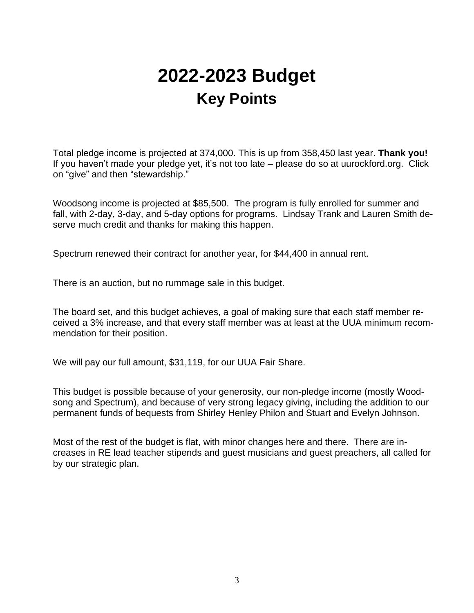# **2022-2023 Budget Key Points**

Total pledge income is projected at 374,000. This is up from 358,450 last year. **Thank you!** If you haven't made your pledge yet, it's not too late – please do so at uurockford.org. Click on "give" and then "stewardship."

Woodsong income is projected at \$85,500. The program is fully enrolled for summer and fall, with 2-day, 3-day, and 5-day options for programs. Lindsay Trank and Lauren Smith deserve much credit and thanks for making this happen.

Spectrum renewed their contract for another year, for \$44,400 in annual rent.

There is an auction, but no rummage sale in this budget.

The board set, and this budget achieves, a goal of making sure that each staff member received a 3% increase, and that every staff member was at least at the UUA minimum recommendation for their position.

We will pay our full amount, \$31,119, for our UUA Fair Share.

This budget is possible because of your generosity, our non-pledge income (mostly Woodsong and Spectrum), and because of very strong legacy giving, including the addition to our permanent funds of bequests from Shirley Henley Philon and Stuart and Evelyn Johnson.

Most of the rest of the budget is flat, with minor changes here and there. There are increases in RE lead teacher stipends and guest musicians and guest preachers, all called for by our strategic plan.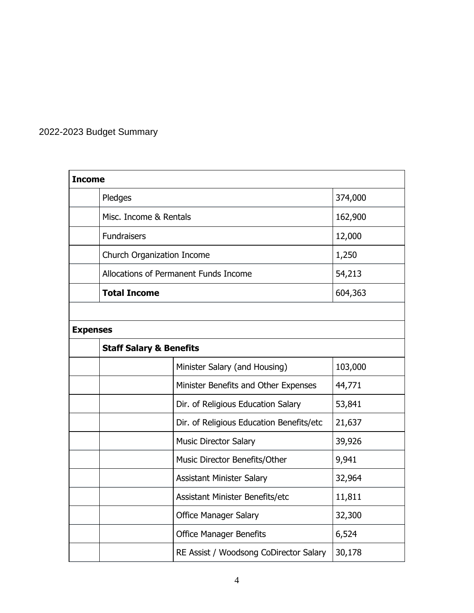## 2022-2023 Budget Summary

| <b>Income</b> |                                       |         |  |
|---------------|---------------------------------------|---------|--|
|               | Pledges                               | 374,000 |  |
|               | Misc. Income & Rentals                | 162,900 |  |
|               | <b>Fundraisers</b>                    | 12,000  |  |
|               | Church Organization Income            | 1,250   |  |
|               | Allocations of Permanent Funds Income | 54,213  |  |
|               | <b>Total Income</b>                   | 604,363 |  |
|               |                                       |         |  |

### **Expenses**

| <b>Staff Salary &amp; Benefits</b> |                                          |         |
|------------------------------------|------------------------------------------|---------|
|                                    | Minister Salary (and Housing)            | 103,000 |
|                                    | Minister Benefits and Other Expenses     | 44,771  |
|                                    | Dir. of Religious Education Salary       | 53,841  |
|                                    | Dir. of Religious Education Benefits/etc | 21,637  |
|                                    | <b>Music Director Salary</b>             | 39,926  |
|                                    | Music Director Benefits/Other            | 9,941   |
|                                    | <b>Assistant Minister Salary</b>         | 32,964  |
|                                    | Assistant Minister Benefits/etc          | 11,811  |
|                                    | <b>Office Manager Salary</b>             | 32,300  |
|                                    | <b>Office Manager Benefits</b>           | 6,524   |
|                                    | RE Assist / Woodsong CoDirector Salary   | 30,178  |